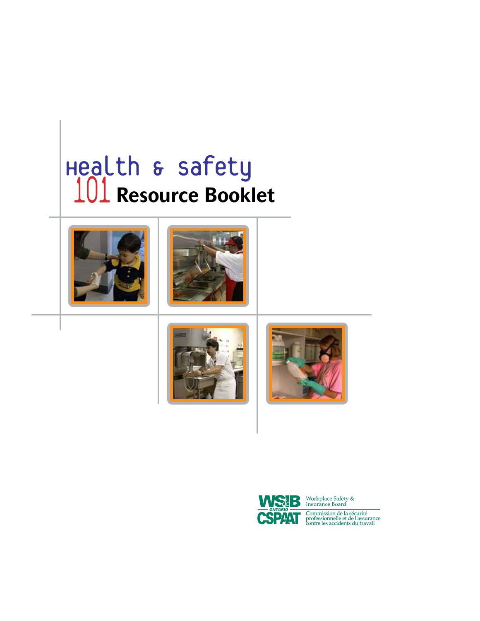# **Resource Booklet**











Workplace Safety &<br>Insurance Board

Commission de la sécurité<br>professionnelle et de l'assurance<br>contre les accidents du travail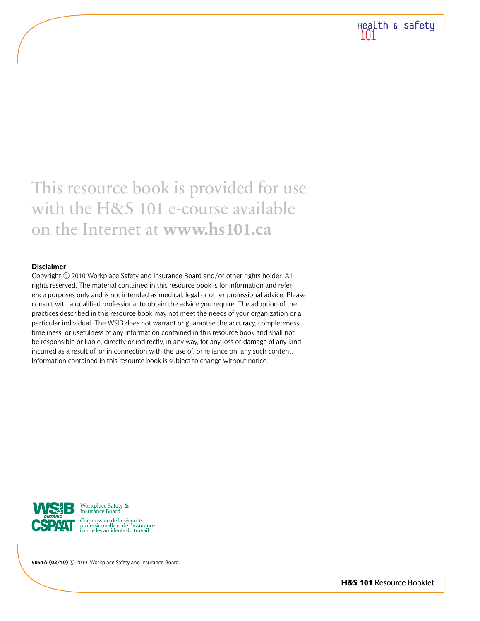

# This resource book is provided for use with the H&S 101 e-course available on the Internet at **www.hs101.ca**

#### **Disclaimer**

Copyright © 2010 Workplace Safety and Insurance Board and/or other rights holder. All rights reserved. The material contained in this resource book is for information and reference purposes only and is not intended as medical, legal or other professional advice. Please consult with a qualified professional to obtain the advice you require. The adoption of the practices described in this resource book may not meet the needs of your organization or a particular individual. The WSIB does not warrant or guarantee the accuracy, completeness, timeliness, or usefulness of any information contained in this resource book and shall not be responsible or liable, directly or indirectly, in any way, for any loss or damage of any kind incurred as a result of, or in connection with the use of, or reliance on, any such content. Information contained in this resource book is subject to change without notice.



**5051A (02/10)** © 2010, Workplace Safety and Insurance Board.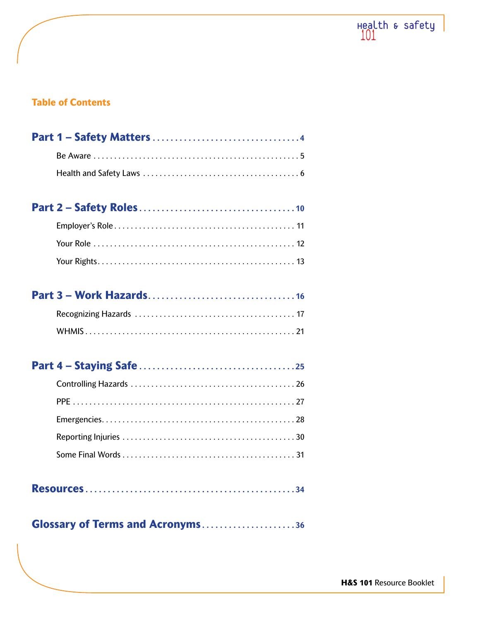

# **Table of Contents**

# 

# 

# 

|--|--|--|--|--|--|--|--|

# **Glossary of Terms and Acronyms....................36**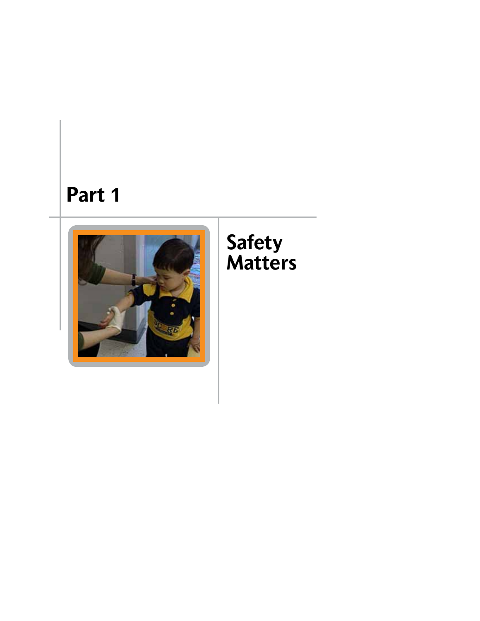# **Part 1**



# **Safety Matters**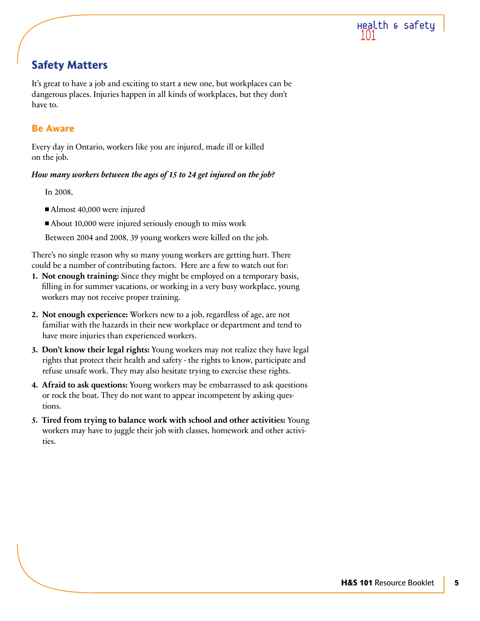

# **Safety Matters**

It's great to have a job and exciting to start a new one, but workplaces can be dangerous places. Injuries happen in all kinds of workplaces, but they don't have to.

# **Be Aware**

Every day in Ontario, workers like you are injured, made ill or killed on the job.

# *How many workers between the ages of 15 to 24 get injured on the job?*

In 2008,

- Almost 40,000 were injured
- About 10,000 were injured seriously enough to miss work

Between 2004 and 2008, 39 young workers were killed on the job.

There's no single reason why so many young workers are getting hurt. There could be a number of contributing factors. Here are a few to watch out for:

- **1. Not enough training:** Since they might be employed on a temporary basis, filling in for summer vacations, or working in a very busy workplace, young workers may not receive proper training.
- **2. Not enough experience:** Workers new to a job, regardless of age, are not familiar with the hazards in their new workplace or department and tend to have more injuries than experienced workers.
- **3. Don't know their legal rights:** Young workers may not realize they have legal rights that protect their health and safety - the rights to know, participate and refuse unsafe work. They may also hesitate trying to exercise these rights.
- **4. Afraid to ask questions:** Young workers may be embarrassed to ask questions or rock the boat. They do not want to appear incompetent by asking questions.
- **5. Tired from trying to balance work with school and other activities:** Young workers may have to juggle their job with classes, homework and other activities.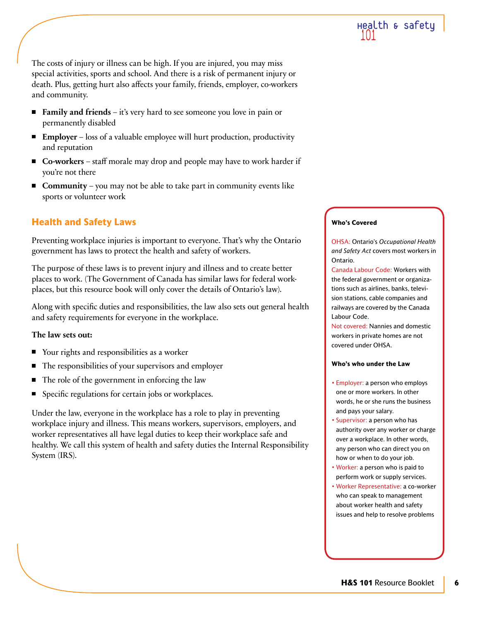The costs of injury or illness can be high. If you are injured, you may miss special activities, sports and school. And there is a risk of permanent injury or death. Plus, getting hurt also affects your family, friends, employer, co-workers and community.

- **Family and friends** it's very hard to see someone you love in pain or permanently disabled
- **Employer** loss of a valuable employee will hurt production, productivity and reputation
- Co-workers staff morale may drop and people may have to work harder if you're not there
- **Community** you may not be able to take part in community events like sports or volunteer work

# **Health and Safety Laws**

Preventing workplace injuries is important to everyone. That's why the Ontario government has laws to protect the health and safety of workers.

The purpose of these laws is to prevent injury and illness and to create better places to work. (The Government of Canada has similar laws for federal workplaces, but this resource book will only cover the details of Ontario's law).

Along with specific duties and responsibilities, the law also sets out general health and safety requirements for everyone in the workplace.

# **The law sets out:**

- Your rights and responsibilities as a worker
- The responsibilities of your supervisors and employer
- The role of the government in enforcing the law
- Specific regulations for certain jobs or workplaces.

Under the law, everyone in the workplace has a role to play in preventing workplace injury and illness. This means workers, supervisors, employers, and worker representatives all have legal duties to keep their workplace safe and healthy. We call this system of health and safety duties the Internal Responsibility System (IRS).

#### **Who's Covered**

OHSA: Ontario's *Occupational Health and Safety Act* covers most workers in Ontario.

Canada Labour Code: Workers with the federal government or organizations such as airlines, banks, television stations, cable companies and railways are covered by the Canada Labour Code.

Not covered: Nannies and domestic workers in private homes are not covered under OHSA.

#### **Who's who under the Law**

- Employer: a person who employs one or more workers. In other words, he or she runs the business and pays your salary.
- Supervisor: a person who has authority over any worker or charge over a workplace. In other words, any person who can direct you on how or when to do your job.
- Worker: a person who is paid to perform work or supply services.
- Worker Representative: a co-worker who can speak to management about worker health and safety issues and help to resolve problems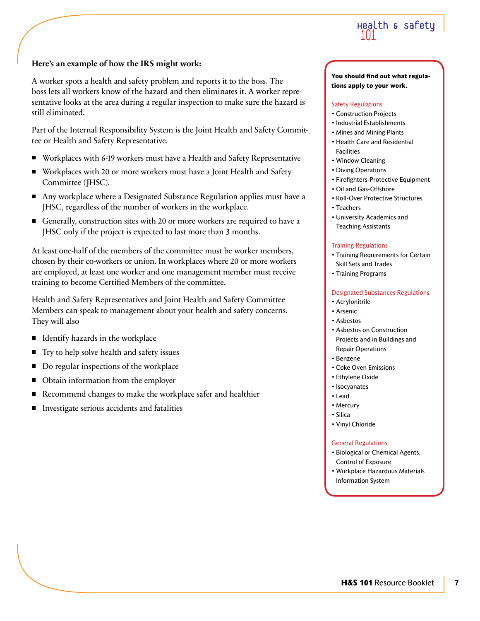

### **Here's an example of how the IRS might work:**

A worker spots a health and safety problem and reports it to the boss. The boss lets all workers know of the hazard and then eliminates it. A worker representative looks at the area during a regular inspection to make sure the hazard is still eliminated.

Part of the Internal Responsibility System is the Joint Health and Safety Committee or Health and Safety Representative.

- Workplaces with 6-19 workers must have a Health and Safety Representative
- Workplaces with 20 or more workers must have a Joint Health and Safety Committee (JHSC).
- Any workplace where a Designated Substance Regulation applies must have a JHSC, regardless of the number of workers in the workplace.
- Generally, construction sites with 20 or more workers are required to have a JHSC only if the project is expected to last more than 3 months.

At least one-half of the members of the committee must be worker members, chosen by their co-workers or union. In workplaces where 20 or more workers are employed, at least one worker and one management member must receive training to become Certified Members of the committee.

Health and Safety Representatives and Joint Health and Safety Committee Members can speak to management about your health and safety concerns. They will also

- Identify hazards in the workplace  $\blacksquare$
- Try to help solve health and safety issues
- Do regular inspections of the workplace
- Obtain information from the employer
- Recommend changes to make the workplace safer and healthier
- $\blacksquare$ Investigate serious accidents and fatalities

#### **You should find out what regulations apply to your work.**

#### Safety Regulations

- Construction Projects
- Industrial Establishments
- Mines and Mining Plants
- Health Care and Residential Facilities
- Window Cleaning
- Diving Operations
- Firefighters-Protective Equipment
- Oil and Gas-Offshore
- Roll-Over Protective Structures
- Teachers
- University Academics and Teaching Assistants

#### Training Regulations

- Training Requirements for Certain Skill Sets and Trades
- Training Programs

#### Designated Substances Regulations

- Acrylonitrile
- Arsenic
- Asbestos
- Asbestos on Construction Projects and in Buildings and Repair Operations
- Benzene
- Coke Oven Emissions
- Ethylene Oxide
- Isocyanates
- Lead
- Mercury
- Silica
- Vinyl Chloride

#### General Regulations

- Biological or Chemical Agents, Control of Exposure
- Workplace Hazardous Materials Information System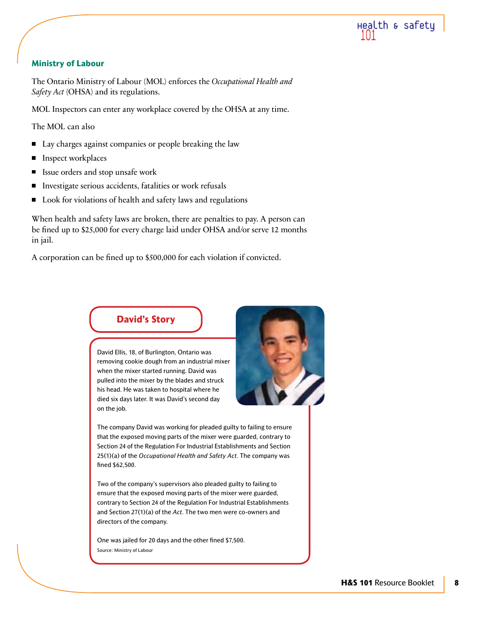

### **Ministry of Labour**

The Ontario Ministry of Labour (MOL) enforces the *Occupational Health and Safety Act* (OHSA) and its regulations.

MOL Inspectors can enter any workplace covered by the OHSA at any time.

The MOL can also

- Lay charges against companies or people breaking the law
- Inspect workplaces П
- Issue orders and stop unsafe work  $\blacksquare$
- Investigate serious accidents, fatalities or work refusals
- Look for violations of health and safety laws and regulations  $\blacksquare$

When health and safety laws are broken, there are penalties to pay. A person can be fined up to \$25,000 for every charge laid under OHSA and/or serve 12 months in jail.

A corporation can be fined up to \$500,000 for each violation if convicted.



David Ellis, 18, of Burlington, Ontario was removing cookie dough from an industrial mixer when the mixer started running. David was pulled into the mixer by the blades and struck his head. He was taken to hospital where he died six days later. It was David's second day on the job.



The company David was working for pleaded guilty to failing to ensure that the exposed moving parts of the mixer were guarded, contrary to Section 24 of the Regulation For Industrial Establishments and Section 25(1)(a) of the *Occupational Health and Safety Act*. The company was fined \$62,500.

Two of the company's supervisors also pleaded guilty to failing to ensure that the exposed moving parts of the mixer were guarded, contrary to Section 24 of the Regulation For Industrial Establishments and Section 27(1)(a) of the *Act*. The two men were co-owners and directors of the company.

One was jailed for 20 days and the other fined \$7,500. Source: Ministry of Labour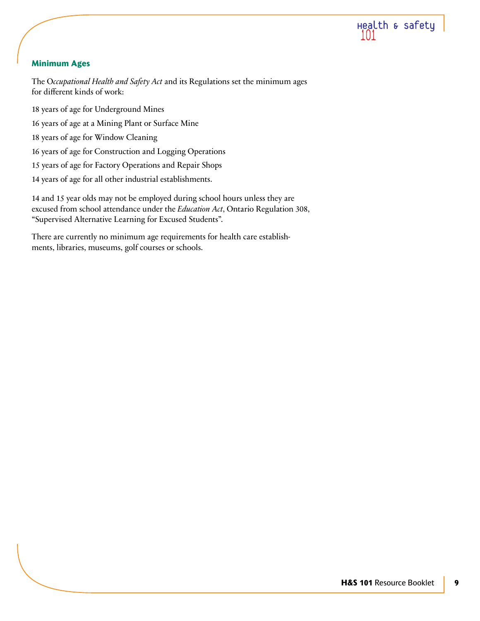

# **Minimum Ages**

The O*ccupational Health and Safety Act* and its Regulations set the minimum ages for different kinds of work:

18 years of age for Underground Mines 16 years of age at a Mining Plant or Surface Mine 18 years of age for Window Cleaning 16 years of age for Construction and Logging Operations 15 years of age for Factory Operations and Repair Shops 14 years of age for all other industrial establishments.

14 and 15 year olds may not be employed during school hours unless they are excused from school attendance under the *Education Act*, Ontario Regulation 308, "Supervised Alternative Learning for Excused Students".

There are currently no minimum age requirements for health care establishments, libraries, museums, golf courses or schools.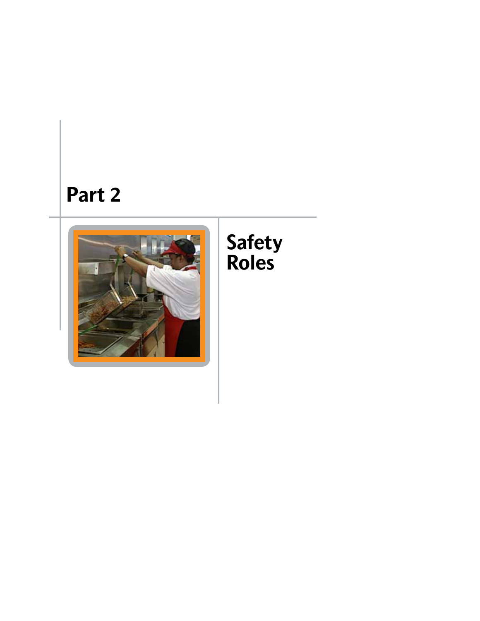# **Part 2**



# **Safety Roles**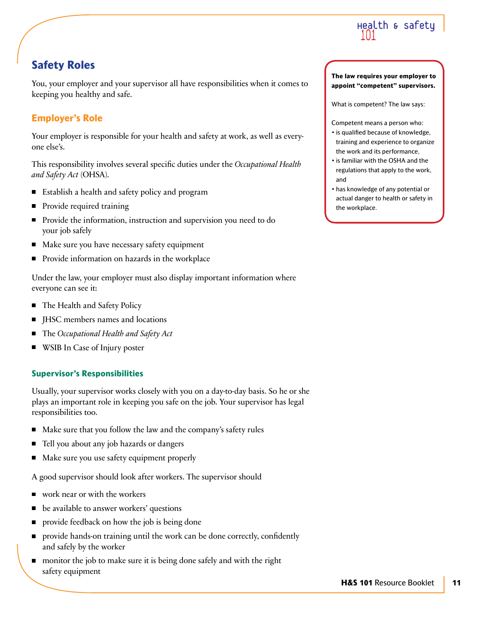

# **Safety Roles**

You, your employer and your supervisor all have responsibilities when it comes to keeping you healthy and safe.

# **Employer's Role**

Your employer is responsible for your health and safety at work, as well as everyone else's.

This responsibility involves several specific duties under the *Occupational Health and Safety Act* (OHSA).

- Establish a health and safety policy and program
- Provide required training
- Provide the information, instruction and supervision you need to do your job safely
- Make sure you have necessary safety equipment
- **Provide information on hazards in the workplace**

Under the law, your employer must also display important information where everyone can see it:

- The Health and Safety Policy
- JHSC members names and locations
- The *Occupational Health and Safety Act* ш
- WSIB In Case of Injury poster П

# **Supervisor's Responsibilities**

Usually, your supervisor works closely with you on a day-to-day basis. So he or she plays an important role in keeping you safe on the job. Your supervisor has legal responsibilities too.

- Make sure that you follow the law and the company's safety rules  $\blacksquare$
- Tell you about any job hazards or dangers
- Make sure you use safety equipment properly

A good supervisor should look after workers. The supervisor should

- work near or with the workers
- be available to answer workers' questions
- provide feedback on how the job is being done П
- provide hands-on training until the work can be done correctly, confidently and safely by the worker
- monitor the job to make sure it is being done safely and with the right safety equipment

#### **The law requires your employer to appoint "competent" supervisors.**

What is competent? The law says:

Competent means a person who:

- is qualified because of knowledge, training and experience to organize the work and its performance,
- is familiar with the OSHA and the regulations that apply to the work, and
- has knowledge of any potential or actual danger to health or safety in the workplace.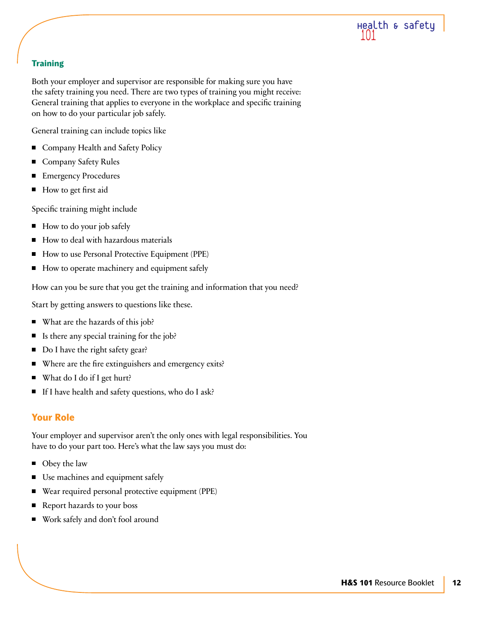

# **Training**

Both your employer and supervisor are responsible for making sure you have the safety training you need. There are two types of training you might receive: General training that applies to everyone in the workplace and specific training on how to do your particular job safely.

General training can include topics like

- Company Health and Safety Policy  $\blacksquare$
- Company Safety Rules П
- Emergency Procedures П
- How to get first aid П

Specific training might include

- $\blacksquare$  How to do your job safely
- How to deal with hazardous materials П
- How to use Personal Protective Equipment (PPE)
- How to operate machinery and equipment safely

How can you be sure that you get the training and information that you need?

Start by getting answers to questions like these.

- What are the hazards of this job?
- Is there any special training for the job? П
- Do I have the right safety gear?  $\blacksquare$
- Where are the fire extinguishers and emergency exits? П
- $\blacksquare$ What do I do if I get hurt?
- If I have health and safety questions, who do I ask?  $\blacksquare$

# **Your Role**

Your employer and supervisor aren't the only ones with legal responsibilities. You have to do your part too. Here's what the law says you must do:

- Obey the law
- П Use machines and equipment safely
- Wear required personal protective equipment (PPE) П
- Report hazards to your boss ш
- Work safely and don't fool around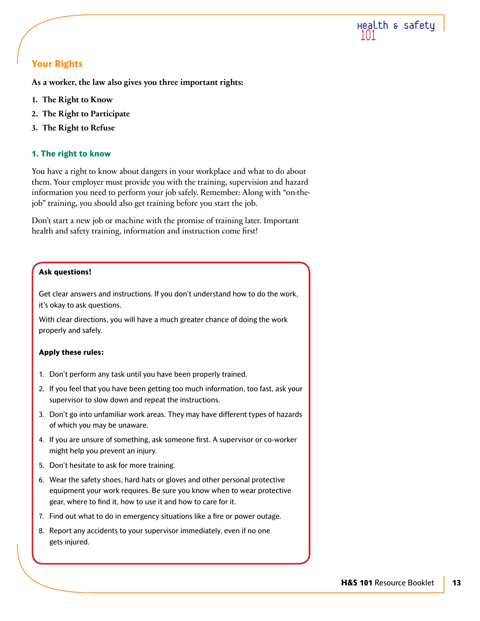

# **Your Rights**

**As a worker, the law also gives you three important rights:**

- **1. The Right to Know**
- **2. The Right to Participate**
- **3. The Right to Refuse**

# **1. The right to know**

You have a right to know about dangers in your workplace and what to do about them. Your employer must provide you with the training, supervision and hazard information you need to perform your job safely. Remember: Along with "on-thejob" training, you should also get training before you start the job.

Don't start a new job or machine with the promise of training later. Important health and safety training, information and instruction come first!

# **Ask questions!**

Get clear answers and instructions. If you don't understand how to do the work, it's okay to ask questions.

With clear directions, you will have a much greater chance of doing the work properly and safely.

#### **Apply these rules:**

- 1. Don't perform any task until you have been properly trained.
- 2. If you feel that you have been getting too much information, too fast, ask your supervisor to slow down and repeat the instructions.
- 3. Don't go into unfamiliar work areas. They may have different types of hazards of which you may be unaware.
- 4. If you are unsure of something, ask someone first. A supervisor or co-worker might help you prevent an injury.
- 5. Don't hesitate to ask for more training.
- 6. Wear the safety shoes, hard hats or gloves and other personal protective equipment your work requires. Be sure you know when to wear protective gear, where to find it, how to use it and how to care for it.
- 7. Find out what to do in emergency situations like a fire or power outage.
- 8. Report any accidents to your supervisor immediately, even if no one gets injured.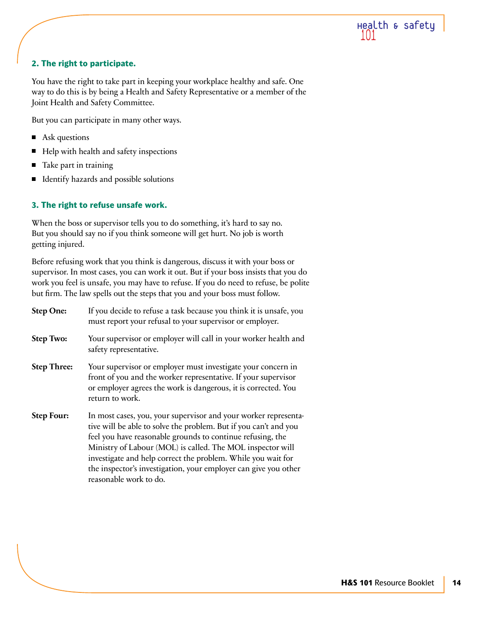

# **2. The right to participate.**

You have the right to take part in keeping your workplace healthy and safe. One way to do this is by being a Health and Safety Representative or a member of the Joint Health and Safety Committee.

But you can participate in many other ways.

- Ask questions
- Help with health and safety inspections Ξ
- Take part in training
- Identify hazards and possible solutions

# **3. The right to refuse unsafe work.**

When the boss or supervisor tells you to do something, it's hard to say no. But you should say no if you think someone will get hurt. No job is worth getting injured.

Before refusing work that you think is dangerous, discuss it with your boss or supervisor. In most cases, you can work it out. But if your boss insists that you do work you feel is unsafe, you may have to refuse. If you do need to refuse, be polite but firm. The law spells out the steps that you and your boss must follow.

| <b>Step One:</b>   | If you decide to refuse a task because you think it is unsafe, you<br>must report your refusal to your supervisor or employer.                                                                                                                                                                                                                                                                                               |
|--------------------|------------------------------------------------------------------------------------------------------------------------------------------------------------------------------------------------------------------------------------------------------------------------------------------------------------------------------------------------------------------------------------------------------------------------------|
| <b>Step Two:</b>   | Your supervisor or employer will call in your worker health and<br>safety representative.                                                                                                                                                                                                                                                                                                                                    |
| <b>Step Three:</b> | Your supervisor or employer must investigate your concern in<br>front of you and the worker representative. If your supervisor<br>or employer agrees the work is dangerous, it is corrected. You<br>return to work.                                                                                                                                                                                                          |
| <b>Step Four:</b>  | In most cases, you, your supervisor and your worker representa-<br>tive will be able to solve the problem. But if you can't and you<br>feel you have reasonable grounds to continue refusing, the<br>Ministry of Labour (MOL) is called. The MOL inspector will<br>investigate and help correct the problem. While you wait for<br>the inspector's investigation, your employer can give you other<br>reasonable work to do. |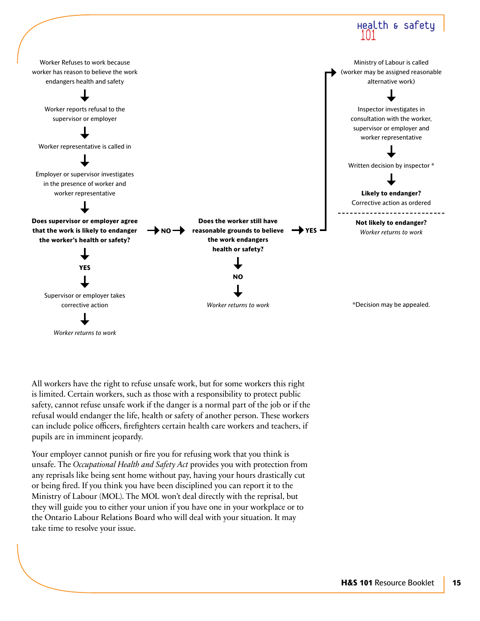

All workers have the right to refuse unsafe work, but for some workers this right is limited. Certain workers, such as those with a responsibility to protect public safety, cannot refuse unsafe work if the danger is a normal part of the job or if the refusal would endanger the life, health or safety of another person. These workers can include police officers, firefighters certain health care workers and teachers, if pupils are in imminent jeopardy.

Your employer cannot punish or fire you for refusing work that you think is unsafe. The *Occupational Health and Safety Act* provides you with protection from any reprisals like being sent home without pay, having your hours drastically cut or being fired. If you think you have been disciplined you can report it to the Ministry of Labour (MOL). The MOL won't deal directly with the reprisal, but they will guide you to either your union if you have one in your workplace or to the Ontario Labour Relations Board who will deal with your situation. It may take time to resolve your issue.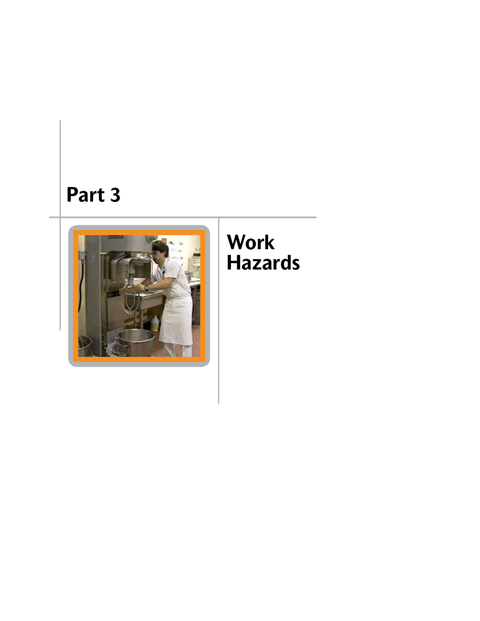# **Part 3**



# **Work Hazards**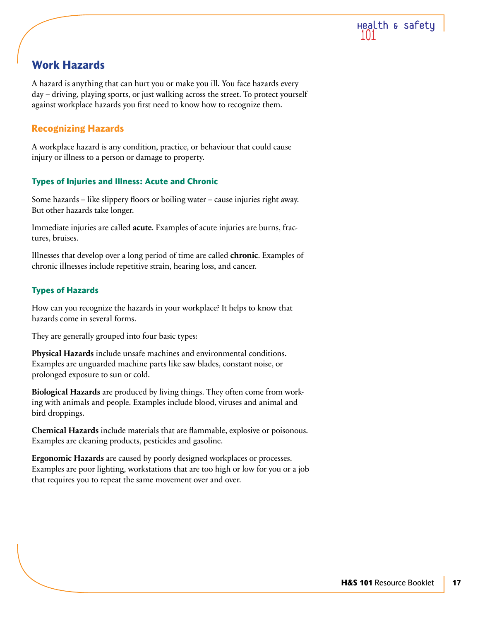

# **Work Hazards**

A hazard is anything that can hurt you or make you ill. You face hazards every day – driving, playing sports, or just walking across the street. To protect yourself against workplace hazards you first need to know how to recognize them.

# **Recognizing Hazards**

A workplace hazard is any condition, practice, or behaviour that could cause injury or illness to a person or damage to property.

# **Types of Injuries and Illness: Acute and Chronic**

Some hazards – like slippery floors or boiling water – cause injuries right away. But other hazards take longer.

Immediate injuries are called **acute**. Examples of acute injuries are burns, fractures, bruises.

Illnesses that develop over a long period of time are called **chronic**. Examples of chronic illnesses include repetitive strain, hearing loss, and cancer.

# **Types of Hazards**

How can you recognize the hazards in your workplace? It helps to know that hazards come in several forms.

They are generally grouped into four basic types:

**Physical Hazards** include unsafe machines and environmental conditions. Examples are unguarded machine parts like saw blades, constant noise, or prolonged exposure to sun or cold.

**Biological Hazards** are produced by living things. They often come from working with animals and people. Examples include blood, viruses and animal and bird droppings.

**Chemical Hazards** include materials that are flammable, explosive or poisonous. Examples are cleaning products, pesticides and gasoline.

**Ergonomic Hazards** are caused by poorly designed workplaces or processes. Examples are poor lighting, workstations that are too high or low for you or a job that requires you to repeat the same movement over and over.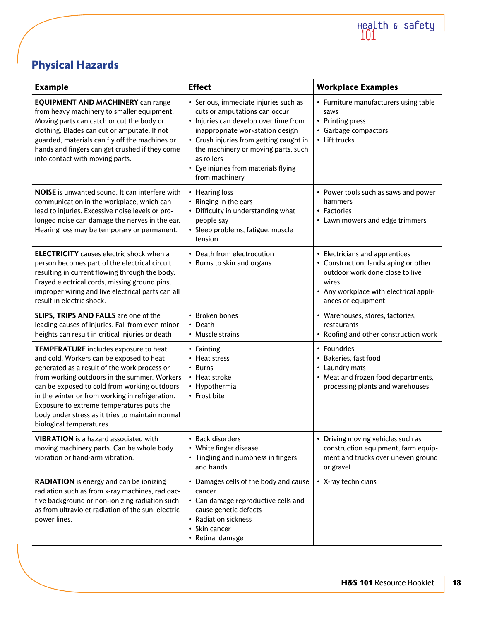

# **Physical Hazards**

| <b>Example</b>                                                                                                                                                                                                                                                                                                                                                                                                           | <b>Effect</b>                                                                                                                                                                                                                                                                                                 | <b>Workplace Examples</b>                                                                                                                                                          |
|--------------------------------------------------------------------------------------------------------------------------------------------------------------------------------------------------------------------------------------------------------------------------------------------------------------------------------------------------------------------------------------------------------------------------|---------------------------------------------------------------------------------------------------------------------------------------------------------------------------------------------------------------------------------------------------------------------------------------------------------------|------------------------------------------------------------------------------------------------------------------------------------------------------------------------------------|
| <b>EQUIPMENT AND MACHINERY can range</b><br>from heavy machinery to smaller equipment.<br>Moving parts can catch or cut the body or<br>clothing. Blades can cut or amputate. If not<br>guarded, materials can fly off the machines or<br>hands and fingers can get crushed if they come<br>into contact with moving parts.                                                                                               | • Serious, immediate injuries such as<br>cuts or amputations can occur<br>• Injuries can develop over time from<br>inappropriate workstation design<br>• Crush injuries from getting caught in<br>the machinery or moving parts, such<br>as rollers<br>• Eye injuries from materials flying<br>from machinery | • Furniture manufacturers using table<br>saws<br>• Printing press<br>• Garbage compactors<br>• Lift trucks                                                                         |
| <b>NOISE</b> is unwanted sound. It can interfere with<br>communication in the workplace, which can<br>lead to injuries. Excessive noise levels or pro-<br>longed noise can damage the nerves in the ear.<br>Hearing loss may be temporary or permanent.                                                                                                                                                                  | • Hearing loss<br>• Ringing in the ears<br>• Difficulty in understanding what<br>people say<br>· Sleep problems, fatigue, muscle<br>tension                                                                                                                                                                   | • Power tools such as saws and power<br>hammers<br>• Factories<br>• Lawn mowers and edge trimmers                                                                                  |
| <b>ELECTRICITY</b> causes electric shock when a<br>person becomes part of the electrical circuit<br>resulting in current flowing through the body.<br>Frayed electrical cords, missing ground pins,<br>improper wiring and live electrical parts can all<br>result in electric shock.                                                                                                                                    | • Death from electrocution<br>• Burns to skin and organs                                                                                                                                                                                                                                                      | • Electricians and apprentices<br>• Construction, landscaping or other<br>outdoor work done close to live<br>wires<br>• Any workplace with electrical appli-<br>ances or equipment |
| SLIPS, TRIPS AND FALLS are one of the<br>leading causes of injuries. Fall from even minor<br>heights can result in critical injuries or death                                                                                                                                                                                                                                                                            | • Broken bones<br>• Death<br>• Muscle strains                                                                                                                                                                                                                                                                 | • Warehouses, stores, factories,<br>restaurants<br>• Roofing and other construction work                                                                                           |
| <b>TEMPERATURE</b> includes exposure to heat<br>and cold. Workers can be exposed to heat<br>generated as a result of the work process or<br>from working outdoors in the summer. Workers<br>can be exposed to cold from working outdoors<br>in the winter or from working in refrigeration.<br>Exposure to extreme temperatures puts the<br>body under stress as it tries to maintain normal<br>biological temperatures. | • Fainting<br>• Heat stress<br>• Burns<br>• Heat stroke<br>• Hypothermia<br>• Frost bite                                                                                                                                                                                                                      | • Foundries<br>• Bakeries, fast food<br>• Laundry mats<br>• Meat and frozen food departments,<br>processing plants and warehouses                                                  |
| <b>VIBRATION</b> is a hazard associated with<br>moving machinery parts. Can be whole body<br>vibration or hand-arm vibration.                                                                                                                                                                                                                                                                                            | • Back disorders<br>• White finger disease<br>• Tingling and numbness in fingers<br>and hands                                                                                                                                                                                                                 | • Driving moving vehicles such as<br>construction equipment, farm equip-<br>ment and trucks over uneven ground<br>or gravel                                                        |
| <b>RADIATION</b> is energy and can be ionizing<br>radiation such as from x-ray machines, radioac-<br>tive background or non-ionizing radiation such<br>as from ultraviolet radiation of the sun, electric<br>power lines.                                                                                                                                                                                                | • Damages cells of the body and cause<br>cancer<br>• Can damage reproductive cells and<br>cause genetic defects<br>• Radiation sickness<br>• Skin cancer<br>• Retinal damage                                                                                                                                  | • X-ray technicians                                                                                                                                                                |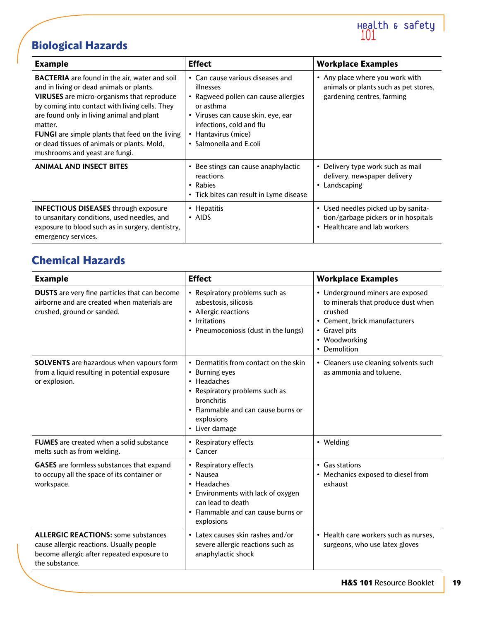# **Biological Hazards**

| <b>Example</b>                                                                                                                                                                                                                                                                                                                                                                                             | <b>Effect</b>                                                                                                                                                                                                          | <b>Workplace Examples</b>                                                                                   |
|------------------------------------------------------------------------------------------------------------------------------------------------------------------------------------------------------------------------------------------------------------------------------------------------------------------------------------------------------------------------------------------------------------|------------------------------------------------------------------------------------------------------------------------------------------------------------------------------------------------------------------------|-------------------------------------------------------------------------------------------------------------|
| <b>BACTERIA</b> are found in the air, water and soil<br>and in living or dead animals or plants.<br><b>VIRUSES</b> are micro-organisms that reproduce<br>by coming into contact with living cells. They<br>are found only in living animal and plant<br>matter.<br><b>FUNGI</b> are simple plants that feed on the living<br>or dead tissues of animals or plants. Mold,<br>mushrooms and yeast are fungi. | • Can cause various diseases and<br>illnesses<br>• Ragweed pollen can cause allergies<br>or asthma<br>• Viruses can cause skin, eye, ear<br>infections, cold and flu<br>• Hantavirus (mice)<br>• Salmonella and E.coli | • Any place where you work with<br>animals or plants such as pet stores,<br>gardening centres, farming      |
| <b>ANIMAL AND INSECT BITES</b>                                                                                                                                                                                                                                                                                                                                                                             | • Bee stings can cause anaphylactic<br>reactions<br>• Rabies<br>• Tick bites can result in Lyme disease                                                                                                                | Delivery type work such as mail<br>$\bullet$<br>delivery, newspaper delivery<br>Landscaping<br>$\bullet$    |
| <b>INFECTIOUS DISEASES through exposure</b><br>to unsanitary conditions, used needles, and<br>exposure to blood such as in surgery, dentistry,<br>emergency services.                                                                                                                                                                                                                                      | • Hepatitis<br>$\cdot$ AIDS                                                                                                                                                                                            | • Used needles picked up by sanita-<br>tion/garbage pickers or in hospitals<br>• Healthcare and lab workers |

# **Chemical Hazards**

| <b>Example</b>                                                                                                                                         | <b>Effect</b>                                                                                                                                                                                | <b>Workplace Examples</b>                                                                                                                                            |
|--------------------------------------------------------------------------------------------------------------------------------------------------------|----------------------------------------------------------------------------------------------------------------------------------------------------------------------------------------------|----------------------------------------------------------------------------------------------------------------------------------------------------------------------|
| <b>DUSTS</b> are very fine particles that can become<br>airborne and are created when materials are<br>crushed, ground or sanded.                      | • Respiratory problems such as<br>asbestosis, silicosis<br>• Allergic reactions<br>• Irritations<br>• Pneumoconiosis (dust in the lungs)                                                     | • Underground miners are exposed<br>to minerals that produce dust when<br>crushed<br>• Cement, brick manufacturers<br>• Gravel pits<br>• Woodworking<br>• Demolition |
| <b>SOLVENTS</b> are hazardous when vapours form<br>from a liquid resulting in potential exposure<br>or explosion.                                      | • Dermatitis from contact on the skin<br>• Burning eyes<br>• Headaches<br>• Respiratory problems such as<br>bronchitis<br>• Flammable and can cause burns or<br>explosions<br>• Liver damage | • Cleaners use cleaning solvents such<br>as ammonia and toluene.                                                                                                     |
| <b>FUMES</b> are created when a solid substance<br>melts such as from welding.                                                                         | • Respiratory effects<br>• Cancer                                                                                                                                                            | • Welding                                                                                                                                                            |
| <b>GASES</b> are formless substances that expand<br>to occupy all the space of its container or<br>workspace.                                          | • Respiratory effects<br>• Nausea<br>• Headaches<br>• Environments with lack of oxygen<br>can lead to death<br>• Flammable and can cause burns or<br>explosions                              | • Gas stations<br>• Mechanics exposed to diesel from<br>exhaust                                                                                                      |
| <b>ALLERGIC REACTIONS: some substances</b><br>cause allergic reactions. Usually people<br>become allergic after repeated exposure to<br>the substance. | • Latex causes skin rashes and/or<br>severe allergic reactions such as<br>anaphylactic shock                                                                                                 | • Health care workers such as nurses,<br>surgeons, who use latex gloves                                                                                              |

Health & safety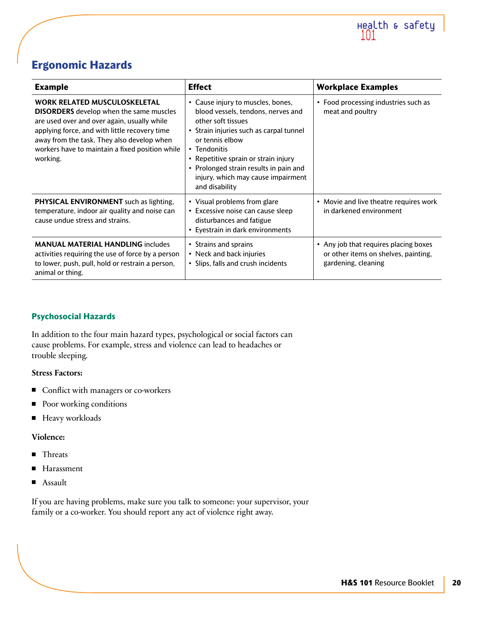

# **Ergonomic Hazards**

| <b>Example</b>                                                                                                                                                                                                                                                                                     | <b>Effect</b>                                                                                                                                                                                                                                                                                                         | <b>Workplace Examples</b>                                                                            |
|----------------------------------------------------------------------------------------------------------------------------------------------------------------------------------------------------------------------------------------------------------------------------------------------------|-----------------------------------------------------------------------------------------------------------------------------------------------------------------------------------------------------------------------------------------------------------------------------------------------------------------------|------------------------------------------------------------------------------------------------------|
| <b>WORK RELATED MUSCULOSKELETAL</b><br><b>DISORDERS</b> develop when the same muscles<br>are used over and over again, usually while<br>applying force, and with little recovery time<br>away from the task. They also develop when<br>workers have to maintain a fixed position while<br>working. | • Cause injury to muscles, bones,<br>blood vessels, tendons, nerves and<br>other soft tissues<br>• Strain injuries such as carpal tunnel<br>or tennis elbow<br>• Tendonitis<br>• Repetitive sprain or strain injury<br>• Prolonged strain results in pain and<br>injury, which may cause impairment<br>and disability | • Food processing industries such as<br>meat and poultry                                             |
| <b>PHYSICAL ENVIRONMENT</b> such as lighting,<br>temperature, indoor air quality and noise can<br>cause undue stress and strains.                                                                                                                                                                  | • Visual problems from glare<br>• Excessive noise can cause sleep<br>disturbances and fatigue<br>• Eyestrain in dark environments                                                                                                                                                                                     | • Movie and live theatre requires work<br>in darkened environment                                    |
| <b>MANUAL MATERIAL HANDLING includes</b><br>activities requiring the use of force by a person<br>to lower, push, pull, hold or restrain a person,<br>animal or thing.                                                                                                                              | • Strains and sprains<br>• Neck and back injuries<br>• Slips, falls and crush incidents                                                                                                                                                                                                                               | • Any job that requires placing boxes<br>or other items on shelves, painting,<br>gardening, cleaning |

# **Psychosocial Hazards**

In addition to the four main hazard types, psychological or social factors can cause problems. For example, stress and violence can lead to headaches or trouble sleeping.

# **Stress Factors:**

- Conflict with managers or co-workers
- Poor working conditions
- **Heavy workloads**

# **Violence:**

- **Threats**
- Harassment
- Assault

If you are having problems, make sure you talk to someone: your supervisor, your family or a co-worker. You should report any act of violence right away.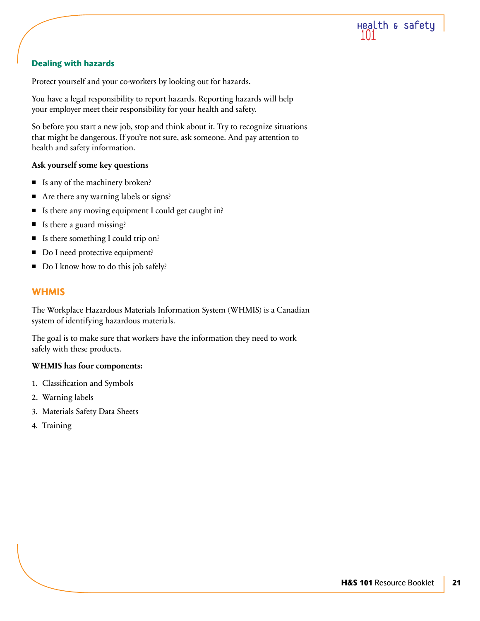

# **Dealing with hazards**

Protect yourself and your co-workers by looking out for hazards.

You have a legal responsibility to report hazards. Reporting hazards will help your employer meet their responsibility for your health and safety.

So before you start a new job, stop and think about it. Try to recognize situations that might be dangerous. If you're not sure, ask someone. And pay attention to health and safety information.

### **Ask yourself some key questions**

- $\blacksquare$  Is any of the machinery broken?
- Are there any warning labels or signs?
- Is there any moving equipment I could get caught in? П
- $\blacksquare$ Is there a guard missing?
- $\blacksquare$  Is there something I could trip on?
- П Do I need protective equipment?
- Do I know how to do this job safely?

# **WHMIS**

The Workplace Hazardous Materials Information System (WHMIS) is a Canadian system of identifying hazardous materials.

The goal is to make sure that workers have the information they need to work safely with these products.

# **WHMIS has four components:**

- 1. Classification and Symbols
- 2. Warning labels
- 3. Materials Safety Data Sheets
- 4. Training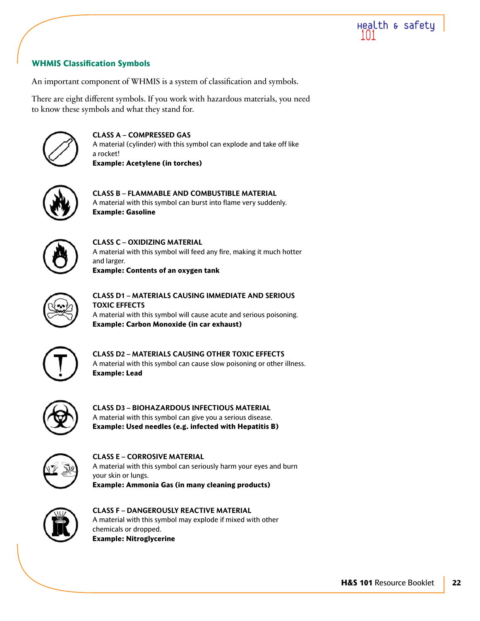

# **WHMIS Classification Symbols**

An important component of WHMIS is a system of classification and symbols.

There are eight different symbols. If you work with hazardous materials, you need to know these symbols and what they stand for.



**CLASS A – COMPRESSED GAS** A material (cylinder) with this symbol can explode and take off like a rocket! **Example: Acetylene (in torches)**



**CLASS B – FLAMMABLE AND COMBUSTIBLE MATERIAL** A material with this symbol can burst into flame very suddenly. **Example: Gasoline**



**CLASS C – OXIDIZING MATERIAL** A material with this symbol will feed any fire, making it much hotter and larger. **Example: Contents of an oxygen tank**



**CLASS D1 – MATERIALS CAUSING IMMEDIATE AND SERIOUS TOXIC EFFECTS** A material with this symbol will cause acute and serious poisoning. **Example: Carbon Monoxide (in car exhaust)**



**CLASS D2 – MATERIALS CAUSING OTHER TOXIC EFFECTS** A material with this symbol can cause slow poisoning or other illness. **Example: Lead**



**CLASS D3 – BIOHAZARDOUS INFECTIOUS MATERIAL** A material with this symbol can give you a serious disease. **Example: Used needles (e.g. infected with Hepatitis B)**



**CLASS E – CORROSIVE MATERIAL** A material with this symbol can seriously harm your eyes and burn your skin or lungs. **Example: Ammonia Gas (in many cleaning products)**



**CLASS F – DANGEROUSLY REACTIVE MATERIAL** A material with this symbol may explode if mixed with other chemicals or dropped. **Example: Nitroglycerine**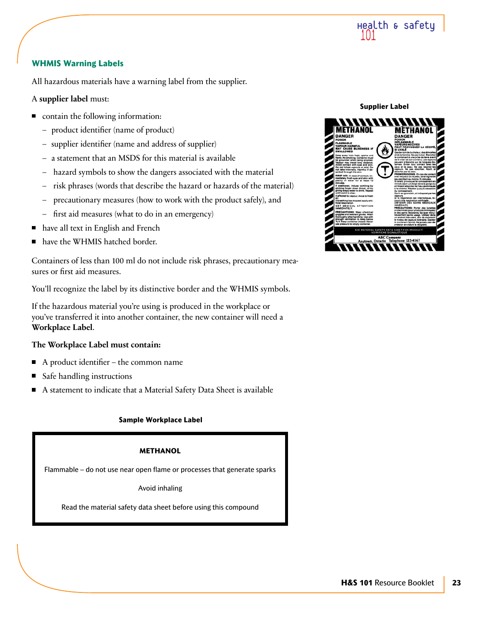

# **WHMIS Warning Labels**

All hazardous materials have a warning label from the supplier.

### A **supplier label** must:

- **n** contain the following information:
	- product identifier (name of product)
	- supplier identifier (name and address of supplier)
	- a statement that an MSDS for this material is available
	- hazard symbols to show the dangers associated with the material
	- risk phrases (words that describe the hazard or hazards of the material)
	- precautionary measures (how to work with the product safely), and
	- first aid measures (what to do in an emergency)
- have all text in English and French
- have the WHMIS hatched border.

Containers of less than 100 ml do not include risk phrases, precautionary measures or first aid measures.

You'll recognize the label by its distinctive border and the WHMIS symbols.

If the hazardous material you're using is produced in the workplace or you've transferred it into another container, the new container will need a **Workplace Label**.

#### **The Workplace Label must contain:**

- A product identifier the common name  $\blacksquare$
- Safe handling instructions
- A statement to indicate that a Material Safety Data Sheet is available П

#### **Sample Workplace Label**

#### **METHANOL**

Flammable – do not use near open flame or processes that generate sparks

Avoid inhaling

Read the material safety data sheet before using this compound



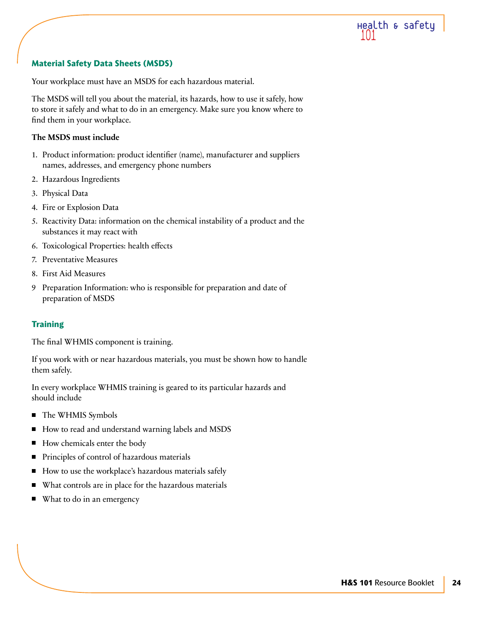

# **Material Safety Data Sheets (MSDS)**

Your workplace must have an MSDS for each hazardous material.

The MSDS will tell you about the material, its hazards, how to use it safely, how to store it safely and what to do in an emergency. Make sure you know where to find them in your workplace.

### **The MSDS must include**

- 1. Product information: product identifier (name), manufacturer and suppliers names, addresses, and emergency phone numbers
- 2. Hazardous Ingredients
- 3. Physical Data
- 4. Fire or Explosion Data
- 5. Reactivity Data: information on the chemical instability of a product and the substances it may react with
- 6. Toxicological Properties: health effects
- 7. Preventative Measures
- 8. First Aid Measures
- 9 Preparation Information: who is responsible for preparation and date of preparation of MSDS

# **Training**

The final WHMIS component is training.

If you work with or near hazardous materials, you must be shown how to handle them safely.

In every workplace WHMIS training is geared to its particular hazards and should include

- The WHMIS Symbols
- $\blacksquare$ How to read and understand warning labels and MSDS
- How chemicals enter the body  $\blacksquare$
- Principles of control of hazardous materials
- How to use the workplace's hazardous materials safely П
- What controls are in place for the hazardous materials
- What to do in an emergency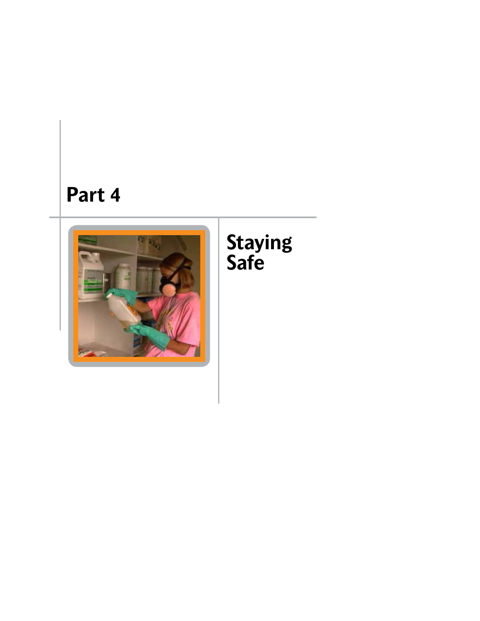# **Part 4**



# **Staying Safe**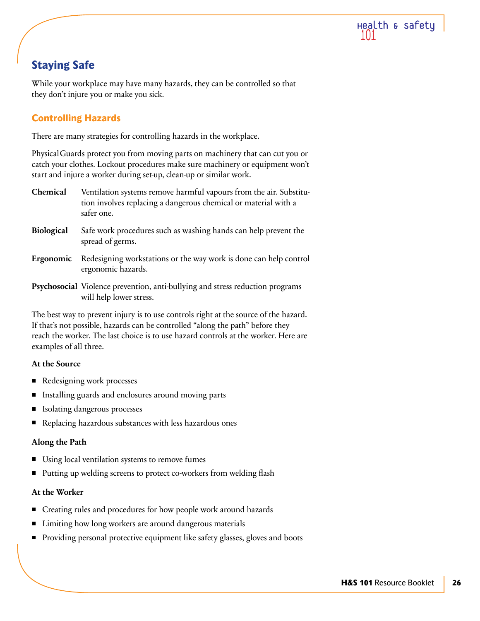

# **Staying Safe**

While your workplace may have many hazards, they can be controlled so that they don't injure you or make you sick.

# **Controlling Hazards**

There are many strategies for controlling hazards in the workplace.

PhysicalGuards protect you from moving parts on machinery that can cut you or catch your clothes. Lockout procedures make sure machinery or equipment won't start and injure a worker during set-up, clean-up or similar work.

- **Chemical** Ventilation systems remove harmful vapours from the air. Substitution involves replacing a dangerous chemical or material with a safer one.
- **Biological** Safe work procedures such as washing hands can help prevent the spread of germs.
- **Ergonomic** Redesigning workstations or the way work is done can help control ergonomic hazards.
- **Psychosocial** Violence prevention, anti-bullying and stress reduction programs will help lower stress.

The best way to prevent injury is to use controls right at the source of the hazard. If that's not possible, hazards can be controlled "along the path" before they reach the worker. The last choice is to use hazard controls at the worker. Here are examples of all three.

# **At the Source**

- $\blacksquare$ Redesigning work processes
- $\blacksquare$ Installing guards and enclosures around moving parts
- Isolating dangerous processes
- Replacing hazardous substances with less hazardous ones  $\blacksquare$

# **Along the Path**

- Using local ventilation systems to remove fumes
- Putting up welding screens to protect co-workers from welding flash

# **At the Worker**

- Creating rules and procedures for how people work around hazards
- Limiting how long workers are around dangerous materials
- **Providing personal protective equipment like safety glasses, gloves and boots**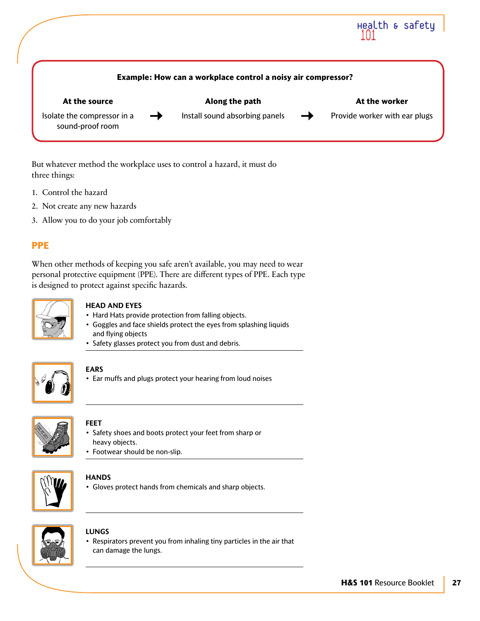

But whatever method the workplace uses to control a hazard, it must do three things:

- 1. Control the hazard
- 2. Not create any new hazards
- 3. Allow you to do your job comfortably

# **PPE**

When other methods of keeping you safe aren't available, you may need to wear personal protective equipment (PPE). There are different types of PPE. Each type is designed to protect against specific hazards.



### **Head and Eyes**

- Hard Hats provide protection from falling objects.
- Goggles and face shields protect the eyes from splashing liquids and flying objects
- Safety glasses protect you from dust and debris.



# **Ears**

• Ear muffs and plugs protect your hearing from loud noises



# **Feet**

- Safety shoes and boots protect your feet from sharp or heavy objects.
- Footwear should be non-slip.



# **Hands**

• Gloves protect hands from chemicals and sharp objects.



# **Lungs**

• Respirators prevent you from inhaling tiny particles in the air that can damage the lungs.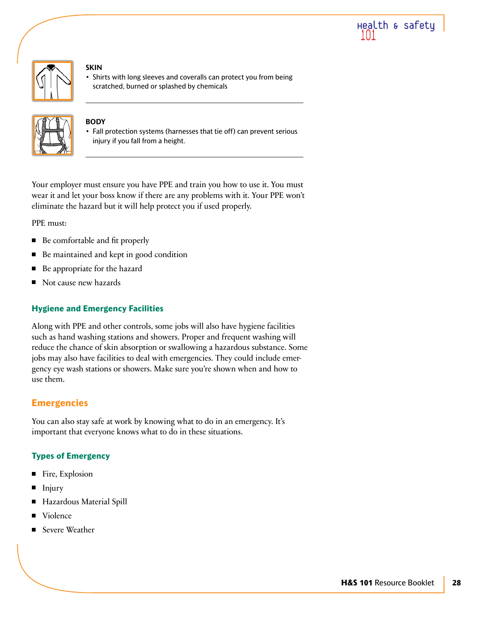



#### **Skin**

• Shirts with long sleeves and coveralls can protect you from being scratched, burned or splashed by chemicals



# **Body**

• Fall protection systems (harnesses that tie off) can prevent serious injury if you fall from a height.

Your employer must ensure you have PPE and train you how to use it. You must wear it and let your boss know if there are any problems with it. Your PPE won't eliminate the hazard but it will help protect you if used properly.

PPE must:

- Be comfortable and fit properly
- Be maintained and kept in good condition  $\blacksquare$
- Be appropriate for the hazard П
- Not cause new hazards П

# **Hygiene and Emergency Facilities**

Along with PPE and other controls, some jobs will also have hygiene facilities such as hand washing stations and showers. Proper and frequent washing will reduce the chance of skin absorption or swallowing a hazardous substance. Some jobs may also have facilities to deal with emergencies. They could include emergency eye wash stations or showers. Make sure you're shown when and how to use them.

# **Emergencies**

You can also stay safe at work by knowing what to do in an emergency. It's important that everyone knows what to do in these situations.

# **Types of Emergency**

- Fire, Explosion П
- Injury П
- Hazardous Material Spill
- Violence
- Severe Weather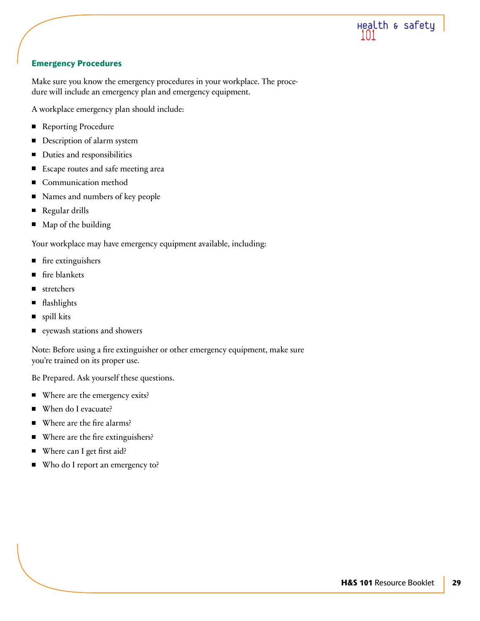

# **Emergency Procedures**

Make sure you know the emergency procedures in your workplace. The procedure will include an emergency plan and emergency equipment.

A workplace emergency plan should include:

- Reporting Procedure
- П Description of alarm system
- Duties and responsibilities П
- Escape routes and safe meeting area  $\blacksquare$
- Communication method П
- П Names and numbers of key people
- π Regular drills
- $\blacksquare$ Map of the building

Your workplace may have emergency equipment available, including:

- fire extinguishers
- fire blankets
- stretchers П
- flashlights
- spill kits П
- Ξ eyewash stations and showers

Note: Before using a fire extinguisher or other emergency equipment, make sure you're trained on its proper use.

Be Prepared. Ask yourself these questions.

- $\blacksquare$ Where are the emergency exits?
- When do I evacuate? П
- Where are the fire alarms? П
- Where are the fire extinguishers?  $\blacksquare$
- П Where can I get first aid?
- Who do I report an emergency to?П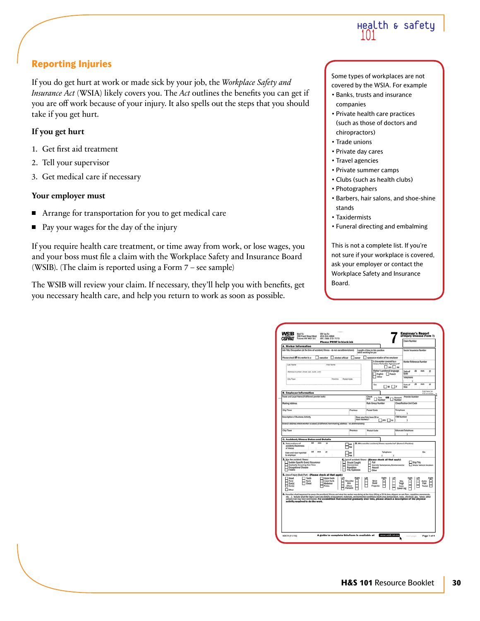

# **Reporting Injuries**

If you do get hurt at work or made sick by your job, the *Workplace Safety and Insurance Act* (WSIA) likely covers you. The *Act* outlines the benefits you can get if you are off work because of your injury. It also spells out the steps that you should take if you get hurt.

# **If you get hurt**

- 1. Get first aid treatment
- 2. Tell your supervisor
- 3. Get medical care if necessary

# **Your employer must**

- Arrange for transportation for you to get medical care
- Pay your wages for the day of the injury

If you require health care treatment, or time away from work, or lose wages, you and your boss must file a claim with the Workplace Safety and Insurance Board (WSIB). (The claim is reported using a Form 7 – see sample)

The WSIB will review your claim. If necessary, they'll help you with benefits, get you necessary health care, and help you return to work as soon as possible.

Some types of workplaces are not covered by the WSIA. For example

- Banks, trusts and insurance companies
- Private health care practices (such as those of doctors and chiropractors)
- Trade unions
- Private day cares
- Travel agencies
- Private summer camps
- Clubs (such as health clubs)
- Photographers
- Barbers, hair salons, and shoe-shine stands
- Taxidermists
- Funeral directing and embalming

This is not a complete list. If you're not sure if your workplace is covered, ask your employer or contact the Workplace Safety and Insurance Board.

| <b>Please PRINT in black ink</b><br><b>A. Worker Information</b>                                                                                                                                                                                                                                                                                                                                                                            |                                                              |                                                                                                                            |                                             |                                       |
|---------------------------------------------------------------------------------------------------------------------------------------------------------------------------------------------------------------------------------------------------------------------------------------------------------------------------------------------------------------------------------------------------------------------------------------------|--------------------------------------------------------------|----------------------------------------------------------------------------------------------------------------------------|---------------------------------------------|---------------------------------------|
| Job Title/Occupation (at the time of accident/illness - do not use abbreviations)                                                                                                                                                                                                                                                                                                                                                           |                                                              | Length of time in this position<br>while working for you                                                                   | Social Insurance Number                     |                                       |
| Please check if this worker is a:<br>$\Box$ executive<br>elected official                                                                                                                                                                                                                                                                                                                                                                   | owner                                                        | spouse or relative of the employer                                                                                         |                                             |                                       |
| Last Name<br>First Nome                                                                                                                                                                                                                                                                                                                                                                                                                     |                                                              | Is the worker covered by a<br>Union/Collective Agreement?<br>$\square$ yes $\square$ no                                    | <b>Worker Reference Number</b>              |                                       |
| Address (number, street, apt., suite, unit)                                                                                                                                                                                                                                                                                                                                                                                                 |                                                              | Worker's preferred language<br>English French<br>l oner                                                                    | dd<br>Date of<br>Birth                      | mm<br>w                               |
| City/Town<br>Province<br><b>Postal Code</b>                                                                                                                                                                                                                                                                                                                                                                                                 |                                                              |                                                                                                                            | Telephone                                   |                                       |
|                                                                                                                                                                                                                                                                                                                                                                                                                                             |                                                              | Sex<br>ות א⊓                                                                                                               | dd<br>Date of<br>Hire                       | mm<br>w                               |
| <b>8. Employer Information</b>                                                                                                                                                                                                                                                                                                                                                                                                              |                                                              |                                                                                                                            |                                             | Fold here for<br>#10 envelope         |
| Trade and Legal Name (if different provide both)                                                                                                                                                                                                                                                                                                                                                                                            |                                                              | <b>Check</b><br>Firm<br>OR<br>cese:<br>Number                                                                              | Provide Number<br>Account<br>$\n  Number\n$ |                                       |
| <b>Mailing Address</b>                                                                                                                                                                                                                                                                                                                                                                                                                      |                                                              | <b>Rate Group Number</b>                                                                                                   | <b>Classification Unit Code</b>             |                                       |
| City/Town                                                                                                                                                                                                                                                                                                                                                                                                                                   | Province                                                     | Postal Code                                                                                                                | Telephone                                   |                                       |
| Description of Business Activity                                                                                                                                                                                                                                                                                                                                                                                                            |                                                              | Does your firm have 20 or                                                                                                  | ٠<br><b>FAX Number</b>                      |                                       |
| Branch Address where worker is based (if different from mailing address - no abbreviations)                                                                                                                                                                                                                                                                                                                                                 | more workers?                                                | $\neg$ yes $\neg$ ea                                                                                                       | r<br>١                                      |                                       |
| City/Town                                                                                                                                                                                                                                                                                                                                                                                                                                   | Province                                                     | <b>Postal Code</b>                                                                                                         | Altımate Telephone                          |                                       |
|                                                                                                                                                                                                                                                                                                                                                                                                                                             |                                                              |                                                                                                                            |                                             |                                       |
| <b>C. Accident/Illness Dates and Details</b>                                                                                                                                                                                                                                                                                                                                                                                                |                                                              |                                                                                                                            |                                             |                                       |
| $\overline{a}$<br>m <sub>0</sub><br>1. Date and hour of<br>w<br>accident/Awareness<br>of illness                                                                                                                                                                                                                                                                                                                                            | ™<br>PM                                                      | 2. Who was the accident/illness reported to? (Name & Position)                                                             |                                             |                                       |
| dd<br>mm<br>n<br>Date and hour reported<br>to employer                                                                                                                                                                                                                                                                                                                                                                                      | lam<br>⊐ни                                                   | Telephone<br>x.<br>$\mathbb{N}$                                                                                            |                                             | Ext.                                  |
| 3. Was the accident/illness:<br>Sudden Specific Event/Occurrence<br>Gradually Occurring Over Time<br>Occupational Disease<br>Fatality                                                                                                                                                                                                                                                                                                       | Struck/Caught<br>Oversvetian<br>Repetition<br>Fire/Explosion | 4. Type of accident/illness: (Please check all that apply)<br>Fall<br>Harnful Substances/Environmental<br>Assault<br>Other | Sig/Trip                                    | <b>Motor Vehicle Incident</b>         |
| 5. Area of Injury (Body Part) - (Please check all that apply)                                                                                                                                                                                                                                                                                                                                                                               |                                                              |                                                                                                                            |                                             |                                       |
| Teeth<br>Head<br>Upper back<br><b>Lower back</b><br>Fare<br>Nerk<br>Eye(s)<br>Chest<br>Abdomen<br>Pelvis<br>Earts)<br>┍<br>$\Box$ Other                                                                                                                                                                                                                                                                                                     | Shoulder<br>Am<br>Elbow<br>Fornamn                           | Wrist<br><b>Hand</b><br>Finger(s)                                                                                          | Left<br>Hin<br>Thigh<br>Knee<br>Lower Leg   | Right<br>F<br>Ankla<br>Fost<br>Toelsk |
| 6. Describe what happened to cause the accident/illness and what the worker was deing at the time (lifting a 50 lb. box, slipped on wet floor, repetitive movements,<br>etc). Include what the injury is and any details of equipment, materials, environmental conditions (work area. temperature, noise, chemical, gas, furnes, other<br>person) that may have contributed. For a condition that occ<br>activity required to do the work. |                                                              |                                                                                                                            |                                             |                                       |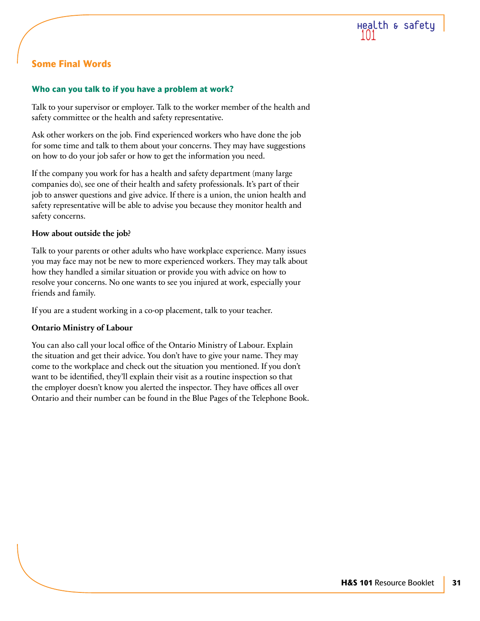

# **Some Final Words**

### **Who can you talk to if you have a problem at work?**

Talk to your supervisor or employer. Talk to the worker member of the health and safety committee or the health and safety representative.

Ask other workers on the job. Find experienced workers who have done the job for some time and talk to them about your concerns. They may have suggestions on how to do your job safer or how to get the information you need.

If the company you work for has a health and safety department (many large companies do), see one of their health and safety professionals. It's part of their job to answer questions and give advice. If there is a union, the union health and safety representative will be able to advise you because they monitor health and safety concerns.

#### **How about outside the job?**

Talk to your parents or other adults who have workplace experience. Many issues you may face may not be new to more experienced workers. They may talk about how they handled a similar situation or provide you with advice on how to resolve your concerns. No one wants to see you injured at work, especially your friends and family.

If you are a student working in a co-op placement, talk to your teacher.

# **Ontario Ministry of Labour**

You can also call your local office of the Ontario Ministry of Labour. Explain the situation and get their advice. You don't have to give your name. They may come to the workplace and check out the situation you mentioned. If you don't want to be identified, they'll explain their visit as a routine inspection so that the employer doesn't know you alerted the inspector. They have offices all over Ontario and their number can be found in the Blue Pages of the Telephone Book.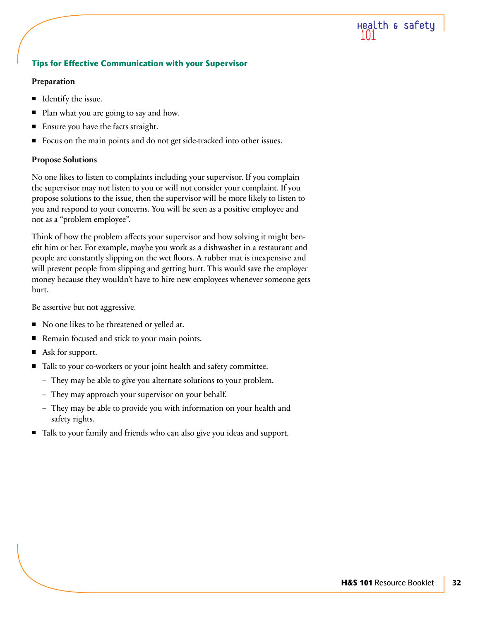# Health & safety

# **Tips for Effective Communication with your Supervisor**

#### **Preparation**

- $\blacksquare$  Identify the issue.
- Plan what you are going to say and how. П
- Ensure you have the facts straight. П
- Focus on the main points and do not get side-tracked into other issues. П

# **Propose Solutions**

No one likes to listen to complaints including your supervisor. If you complain the supervisor may not listen to you or will not consider your complaint. If you propose solutions to the issue, then the supervisor will be more likely to listen to you and respond to your concerns. You will be seen as a positive employee and not as a "problem employee".

Think of how the problem affects your supervisor and how solving it might benefit him or her. For example, maybe you work as a dishwasher in a restaurant and people are constantly slipping on the wet floors. A rubber mat is inexpensive and will prevent people from slipping and getting hurt. This would save the employer money because they wouldn't have to hire new employees whenever someone gets hurt.

Be assertive but not aggressive.

- No one likes to be threatened or yelled at.
- Remain focused and stick to your main points. П
- Ask for support.
- Talk to your co-workers or your joint health and safety committee.
	- They may be able to give you alternate solutions to your problem.
	- They may approach your supervisor on your behalf.
	- They may be able to provide you with information on your health and safety rights.
- Talk to your family and friends who can also give you ideas and support.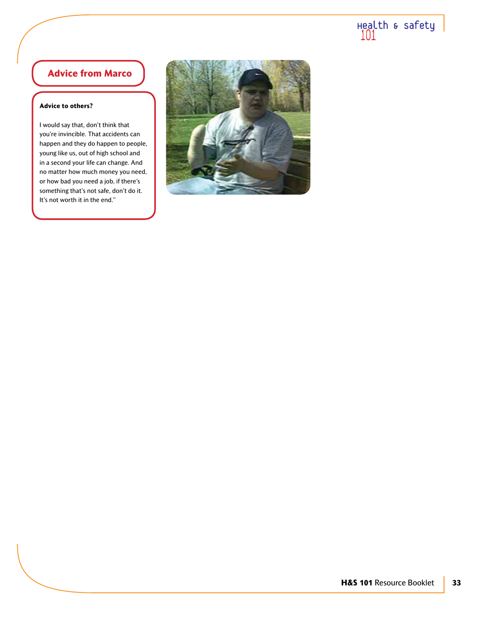# Health & safety

# **Advice from Marco**

#### **Advice to others?**

I would say that, don't think that you're invincible. That accidents can happen and they do happen to people, young like us, out of high school and in a second your life can change. And no matter how much money you need, or how bad you need a job, if there's something that's not safe, don't do it. It's not worth it in the end."

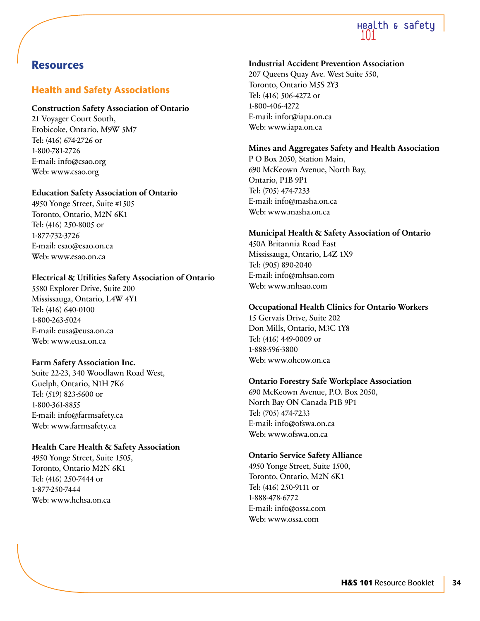

# **Resources**

# **Health and Safety Associations**

# **Construction Safety Association of Ontario**

21 Voyager Court South, Etobicoke, Ontario, M9W 5M7 Tel: (416) 674-2726 or 1-800-781-2726 E-mail: info@csao.org Web: www.csao.org

# **Education Safety Association of Ontario**

4950 Yonge Street, Suite #1505 Toronto, Ontario, M2N 6K1 Tel: (416) 250-8005 or 1-877-732-3726 E-mail: esao@esao.on.ca Web: www.esao.on.ca

# **Electrical & Utilities Safety Association of Ontario**

5580 Explorer Drive, Suite 200 Mississauga, Ontario, L4W 4Y1 Tel: (416) 640-0100 1-800-263-5024 E-mail: eusa@eusa.on.ca Web: www.eusa.on.ca

# **Farm Safety Association Inc.**

Suite 22-23, 340 Woodlawn Road West, Guelph, Ontario, N1H 7K6 Tel: (519) 823-5600 or 1-800-361-8855 E-mail: info@farmsafety.ca Web: www.farmsafety.ca

# **Health Care Health & Safety Association**

4950 Yonge Street, Suite 1505, Toronto, Ontario M2N 6K1 Tel: (416) 250-7444 or 1-877-250-7444 Web: www.hchsa.on.ca

# **Industrial Accident Prevention Association**

207 Queens Quay Ave. West Suite 550, Toronto, Ontario M5S 2Y3 Tel: (416) 506-4272 or 1-800-406-4272 E-mail: infor@iapa.on.ca Web: www.iapa.on.ca

# **Mines and Aggregates Safety and Health Association**

P O Box 2050, Station Main, 690 McKeown Avenue, North Bay, Ontario, P1B 9P1 Tel: (705) 474-7233 E-mail: info@masha.on.ca Web: www.masha.on.ca

# **Municipal Health & Safety Association of Ontario**

450A Britannia Road East Mississauga, Ontario, L4Z 1X9 Tel: (905) 890-2040 E-mail: info@mhsao.com Web: www.mhsao.com

# **Occupational Health Clinics for Ontario Workers**

15 Gervais Drive, Suite 202 Don Mills, Ontario, M3C 1Y8 Tel: (416) 449-0009 or 1-888-596-3800 Web: www.ohcow.on.ca

# **Ontario Forestry Safe Workplace Association**

690 McKeown Avenue, P.O. Box 2050, North Bay ON Canada P1B 9P1 Tel: (705) 474-7233 E-mail: info@ofswa.on.ca Web: www.ofswa.on.ca

# **Ontario Service Safety Alliance**

4950 Yonge Street, Suite 1500, Toronto, Ontario, M2N 6K1 Tel: (416) 250-9111 or 1-888-478-6772 E-mail: info@ossa.com Web: www.ossa.com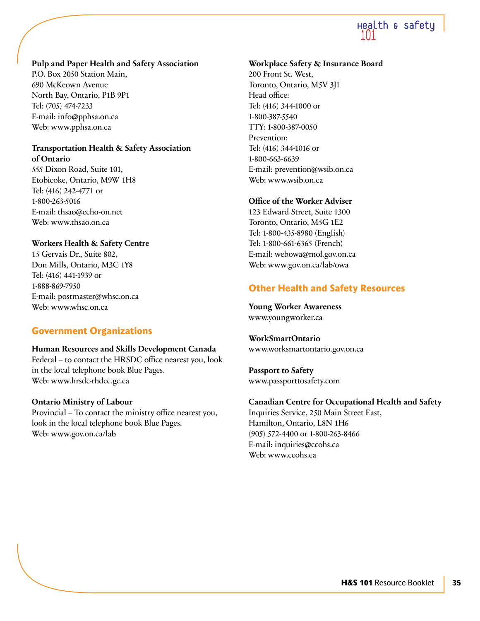# Health & safety

# **Pulp and Paper Health and Safety Association**

P.O. Box 2050 Station Main, 690 McKeown Avenue North Bay, Ontario, P1B 9P1 Tel: (705) 474-7233 E-mail: info@pphsa.on.ca Web: www.pphsa.on.ca

# **Transportation Health & Safety Association of Ontario**

555 Dixon Road, Suite 101, Etobicoke, Ontario, M9W 1H8 Tel: (416) 242-4771 or 1-800-263-5016 E-mail: thsao@echo-on.net Web: www.thsao.on.ca

# **Workers Health & Safety Centre**

15 Gervais Dr., Suite 802, Don Mills, Ontario, M3C 1Y8 Tel: (416) 441-1939 or 1-888-869-7950 E-mail: postmaster@whsc.on.ca Web: www.whsc.on.ca

# **Government Organizations**

# **Human Resources and Skills Development Canada**

Federal – to contact the HRSDC office nearest you, look in the local telephone book Blue Pages. Web: www.hrsdc-rhdcc.gc.ca

# **Ontario Ministry of Labour**

Provincial – To contact the ministry office nearest you, look in the local telephone book Blue Pages. Web: www.gov.on.ca/lab

# **Workplace Safety & Insurance Board**

200 Front St. West, Toronto, Ontario, M5V 3J1 Head office: Tel: (416) 344-1000 or 1-800-387-5540 TTY: 1-800-387-0050 Prevention: Tel: (416) 344-1016 or 1-800-663-6639 E-mail: prevention@wsib.on.ca Web: www.wsib.on.ca

# **Office of the Worker Adviser**

123 Edward Street, Suite 1300 Toronto, Ontario, M5G 1E2 Tel: 1-800-435-8980 (English) Tel: 1-800-661-6365 (French) E-mail: webowa@mol.gov.on.ca Web: www.gov.on.ca/lab/owa

# **Other Health and Safety Resources**

**Young Worker Awareness** www.youngworker.ca

**WorkSmartOntario** www.worksmartontario.gov.on.ca

**Passport to Safety** www.passporttosafety.com

# **Canadian Centre for Occupational Health and Safety**

Inquiries Service, 250 Main Street East, Hamilton, Ontario, L8N 1H6 (905) 572-4400 or 1-800-263-8466 E-mail: inquiries@ccohs.ca Web: www.ccohs.ca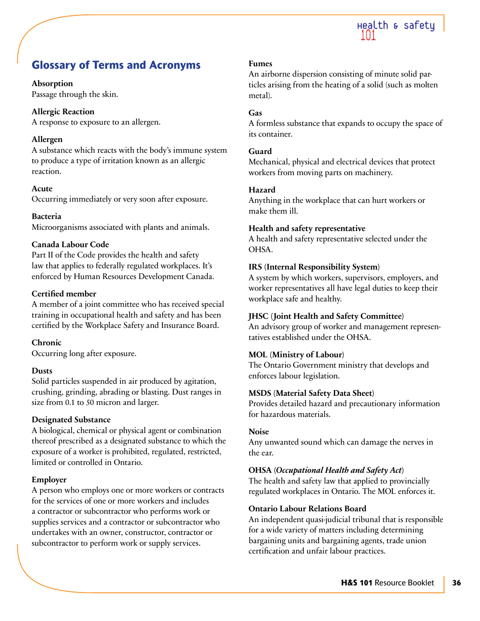

# **Glossary of Terms and Acronyms**

# **Absorption**

Passage through the skin.

# **Allergic Reaction**

A response to exposure to an allergen.

# **Allergen**

A substance which reacts with the body's immune system to produce a type of irritation known as an allergic reaction.

# **Acute**

Occurring immediately or very soon after exposure.

# **Bacteria**

Microorganisms associated with plants and animals.

# **Canada Labour Code**

Part II of the Code provides the health and safety law that applies to federally regulated workplaces. It's enforced by Human Resources Development Canada.

# **Certified member**

A member of a joint committee who has received special training in occupational health and safety and has been certified by the Workplace Safety and Insurance Board.

# **Chronic**

Occurring long after exposure.

# **Dusts**

Solid particles suspended in air produced by agitation, crushing, grinding, abrading or blasting. Dust ranges in size from 0.1 to 50 micron and larger.

# **Designated Substance**

A biological, chemical or physical agent or combination thereof prescribed as a designated substance to which the exposure of a worker is prohibited, regulated, restricted, limited or controlled in Ontario.

# **Employer**

A person who employs one or more workers or contracts for the services of one or more workers and includes a contractor or subcontractor who performs work or supplies services and a contractor or subcontractor who undertakes with an owner, constructor, contractor or subcontractor to perform work or supply services.

# **Fumes**

An airborne dispersion consisting of minute solid particles arising from the heating of a solid (such as molten metal).

# **Gas**

A formless substance that expands to occupy the space of its container.

# **Guard**

Mechanical, physical and electrical devices that protect workers from moving parts on machinery.

# **Hazard**

Anything in the workplace that can hurt workers or make them ill.

# **Health and safety representative**

A health and safety representative selected under the OHSA.

# **IRS (Internal Responsibility System)**

A system by which workers, supervisors, employers, and worker representatives all have legal duties to keep their workplace safe and healthy.

# **JHSC (Joint Health and Safety Committee)**

An advisory group of worker and management representatives established under the OHSA.

# **MOL (Ministry of Labour)**

The Ontario Government ministry that develops and enforces labour legislation.

# **MSDS (Material Safety Data Sheet)**

Provides detailed hazard and precautionary information for hazardous materials.

# **Noise**

Any unwanted sound which can damage the nerves in the ear.

# **OHSA (***Occupational Health and Safety Act***)**

The health and safety law that applied to provincially regulated workplaces in Ontario. The MOL enforces it.

# **Ontario Labour Relations Board**

An independent quasi-judicial tribunal that is responsible for a wide variety of matters including determining bargaining units and bargaining agents, trade union certification and unfair labour practices.